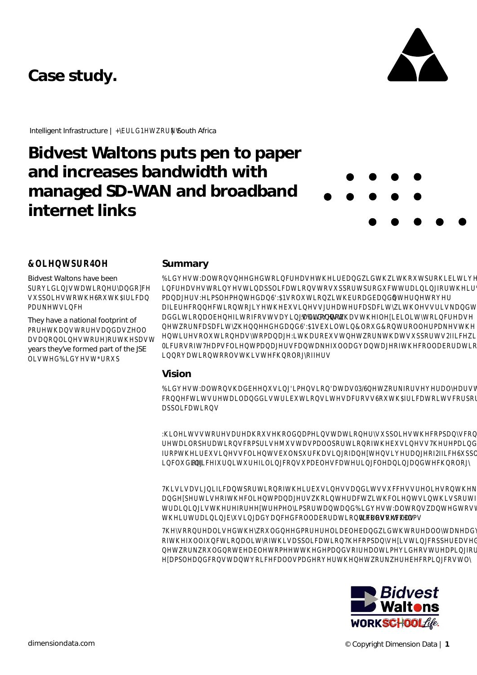# Case study





### **©B/SR4H**

Bidvest Waltons have been SEWWR **WSTA/TA/MU/RD**  $M/G$ They have a national footprint of  $B/B$ **DA/M/KM/** vears they've formed part of the JSE  $M/W/R$ 

### Summary

**MWDOWRQA/ROVH/DA/KVRXVSBKVKVW DVMWRWWDSSODWRWWRVXSRWSRWWDDRWMMW POIMBOR/BOVROWRINGDBQ/BLRM** DBEARWRJMWEAVJBWBSDEVWWDWVMDQ/K **DIG/ROOM/RRVWVDINGW** DOWRØ BOVWODWWROVH **WANDSDIVOOVDWORKWROODNMWK WHROWROVWRDDJWDRWWWWRNWDWVXSRWV2MK** BVRWØRDØ/PDJWDØ/DNØODØØ/DJRWROODRDWRDG **QDWRWRROVWKWQORJRW** 

### Vision

**WWDOWRODMERDWDVM/RNRVDODVWR** RE/WVM/DODEWEVROWMDRVV&WDWRWVRSRDWH **DSSODWRØ** 

**OHVVVWRMDDRXROQDWDWRDXSOMWRBDQRQB WDDRSBWR@RBWWWDVBOOSRWRRWWDVDDWR** BRWYDAVDNSDVIRDADDRIESOM REVERGEDHDWEDBIDG/RORJ **DIR** 

**WINDVIRM/SRWRRWMGVDM/VWVAHRMWRDAH** DGMVRWOD/DOJMKD/DFVMVOD/VD/KSRWRORBM WDD/WEL/DBRWDQ/DBWDOWRQDQ/E/RVWDDB WWDDZDDBBOODRDWRMRROVVOV

**MRROOVE/KORDDEDA/KVRDOOWDNBO2/DJH** RWOOMROOWRWWDSSODWRESDOWWDRSSDVB **WENESQWDDWRWWOQRDOWNVWDDRU** BBOBRØWDØ/RBOOVBRM/KURNERVWO\

**QVRWØR**